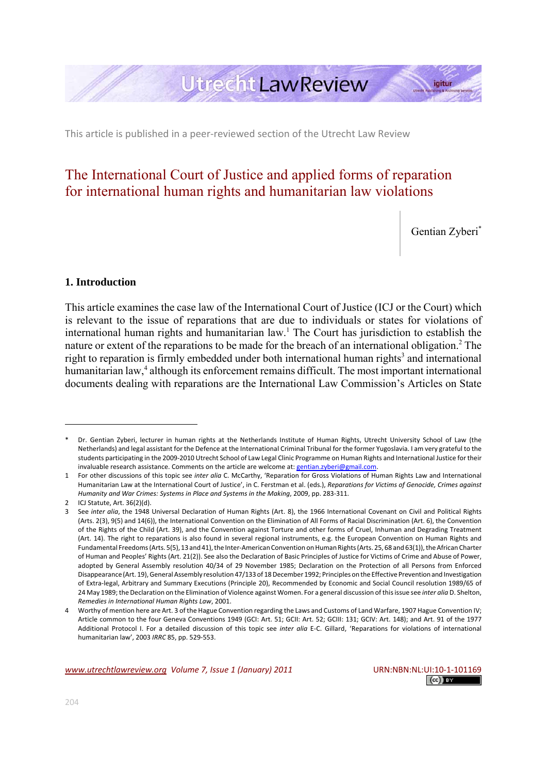# **Utrecht LawReview**

This article is published in a peer‐reviewed section of the Utrecht Law Review

## The International Court of Justice and applied forms of reparation for international human rights and humanitarian law violations

Gentian Zyberi\*

igitur

## **1. Introduction**

This article examines the case law of the International Court of Justice (ICJ or the Court) which is relevant to the issue of reparations that are due to individuals or states for violations of international human rights and humanitarian law.<sup>1</sup> The Court has jurisdiction to establish the nature or extent of the reparations to be made for the breach of an international obligation.<sup>2</sup> The right to reparation is firmly embedded under both international human rights<sup>3</sup> and international humanitarian law,<sup>4</sup> although its enforcement remains difficult. The most important international documents dealing with reparations are the International Law Commission's Articles on State

Dr. Gentian Zyberi, lecturer in human rights at the Netherlands Institute of Human Rights, Utrecht University School of Law (the Netherlands) and legal assistant for the Defence at the International Criminal Tribunal for the former Yugoslavia. I am very grateful to the students participating in the 2009‐2010 Utrecht School of Law Legal Clinic Programme on Human Rights and International Justice for their invaluable research assistance. Comments on the article are welcome at: gentian.zyberi@gmail.com.

<sup>1</sup> For other discussions of this topic see *inter alia* C. McCarthy, 'Reparation for Gross Violations of Human Rights Law and International Humanitarian Law at the International Court of Justice', in C. Ferstman et al. (eds.), *Reparations for Victims of Genocide, Crimes against Humanity and War Crimes: Systems in Place and Systems in the Making*, 2009, pp. 283‐311.

<sup>2</sup> ICJ Statute, Art. 36(2)(d).

<sup>3</sup> See *inter alia*, the 1948 Universal Declaration of Human Rights (Art. 8), the 1966 International Covenant on Civil and Political Rights (Arts. 2(3), 9(5) and 14(6)), the International Convention on the Elimination of All Forms of Racial Discrimination (Art. 6), the Convention of the Rights of the Child (Art. 39), and the Convention against Torture and other forms of Cruel, Inhuman and Degrading Treatment (Art. 14). The right to reparations is also found in several regional instruments, e.g. the European Convention on Human Rights and Fundamental Freedoms (Arts. 5(5), 13 and 41), the Inter-American Convention on Human Rights (Arts. 25, 68 and 63(1)), the African Charter of Human and Peoples' Rights (Art. 21(2)). See also the Declaration of Basic Principles of Justice for Victims of Crime and Abuse of Power, adopted by General Assembly resolution 40/34 of 29 November 1985; Declaration on the Protection of all Persons from Enforced Disappearance (Art. 19), General Assembly resolution 47/133 of 18 December 1992; Principles on the Effective Prevention and Investigation of Extra‐legal, Arbitrary and Summary Executions (Principle 20), Recommended by Economic and Social Council resolution 1989/65 of 24 May 1989;the Declaration on the Elimination of Violence against Women. For a general discussion of thisissue see *inter alia* D. Shelton, *Remedies in International Human Rights Law*, 2001.

<sup>4</sup> Worthy of mention here are Art. 3 of the Hague Convention regarding the Laws and Customs of Land Warfare, 1907 Hague Convention IV; Article common to the four Geneva Conventions 1949 (GCI: Art. 51; GCII: Art. 52; GCIII: 131; GCIV: Art. 148); and Art. 91 of the 1977 Additional Protocol I. For a detailed discussion of this topic see *inter alia* E‐C. Gillard, 'Reparations for violations of international humanitarian law', 2003 *IRRC* 85, pp. 529‐553.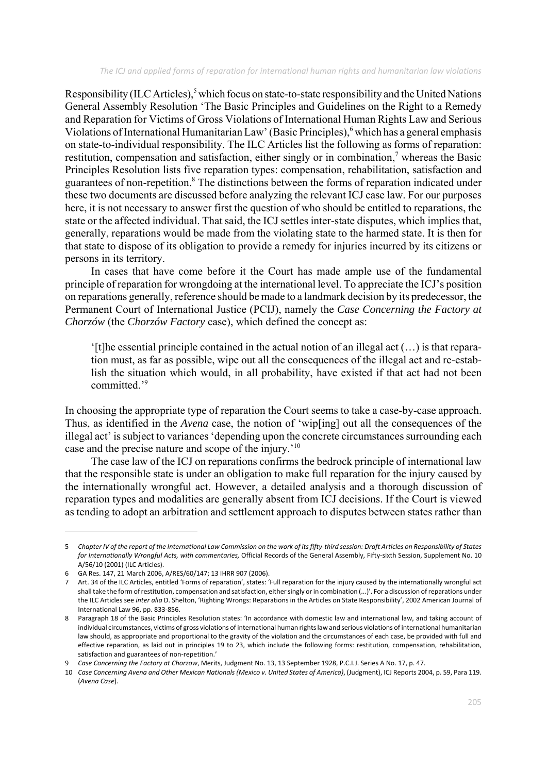Responsibility (ILC Articles),<sup>5</sup> which focus on state-to-state responsibility and the United Nations General Assembly Resolution 'The Basic Principles and Guidelines on the Right to a Remedy and Reparation for Victims of Gross Violations of International Human Rights Law and Serious Violations of International Humanitarian Law' (Basic Principles),<sup>6</sup> which has a general emphasis on state-to-individual responsibility. The ILC Articles list the following as forms of reparation: restitution, compensation and satisfaction, either singly or in combination,<sup>7</sup> whereas the Basic Principles Resolution lists five reparation types: compensation, rehabilitation, satisfaction and guarantees of non-repetition.<sup>8</sup> The distinctions between the forms of reparation indicated under these two documents are discussed before analyzing the relevant ICJ case law. For our purposes here, it is not necessary to answer first the question of who should be entitled to reparations, the state or the affected individual. That said, the ICJ settles inter-state disputes, which implies that, generally, reparations would be made from the violating state to the harmed state. It is then for that state to dispose of its obligation to provide a remedy for injuries incurred by its citizens or persons in its territory.

In cases that have come before it the Court has made ample use of the fundamental principle of reparation for wrongdoing at the international level. To appreciate the ICJ's position on reparations generally, reference should be made to a landmark decision by its predecessor, the Permanent Court of International Justice (PCIJ), namely the *Case Concerning the Factory at Chorzów* (the *Chorzów Factory* case), which defined the concept as:

 $'[t]$ he essential principle contained in the actual notion of an illegal act  $(...)$  is that reparation must, as far as possible, wipe out all the consequences of the illegal act and re-establish the situation which would, in all probability, have existed if that act had not been committed.'9

In choosing the appropriate type of reparation the Court seems to take a case-by-case approach. Thus, as identified in the *Avena* case, the notion of 'wip[ing] out all the consequences of the illegal act' is subject to variances 'depending upon the concrete circumstances surrounding each case and the precise nature and scope of the injury.'10

The case law of the ICJ on reparations confirms the bedrock principle of international law that the responsible state is under an obligation to make full reparation for the injury caused by the internationally wrongful act. However, a detailed analysis and a thorough discussion of reparation types and modalities are generally absent from ICJ decisions. If the Court is viewed as tending to adopt an arbitration and settlement approach to disputes between states rather than

<sup>5</sup> Chapter IV of the report of the International Law Commission on the work of its fifty-third session: Draft Articles on Responsibility of States *for Internationally Wrongful Acts, with commentaries,* Official Records of the General Assembly, Fifty‐sixth Session, Supplement No. 10 A/56/10 (2001) (ILC Articles).

<sup>6</sup> GA Res. 147, 21 March 2006, A/RES/60/147; 13 IHRR 907 (2006).

<sup>7</sup> Art. 34 of the ILC Articles, entitled 'Forms of reparation', states: 'Full reparation for the injury caused by the internationally wrongful act shall take the form of restitution, compensation and satisfaction, either singly or in combination (...)'. For a discussion of reparations under the ILC Articles see *inter alia* D. Shelton, 'Righting Wrongs: Reparations in the Articles on State Responsibility', 2002 American Journal of International Law 96, pp. 833‐856.

<sup>8</sup> Paragraph 18 of the Basic Principles Resolution states: 'In accordance with domestic law and international law, and taking account of individual circumstances, victims of gross violations of international human rightslaw and serious violations of international humanitarian law should, as appropriate and proportional to the gravity of the violation and the circumstances of each case, be provided with full and effective reparation, as laid out in principles 19 to 23, which include the following forms: restitution, compensation, rehabilitation, satisfaction and guarantees of non‐repetition.'

<sup>9</sup> *Case Concerning the Factory at Chorzow*, Merits, Judgment No. 13, 13 September 1928, P.C.I.J. Series A No. 17, p. 47.

<sup>10</sup> Case Concerning Avena and Other Mexican Nationals (Mexico v. United States of America), (Judgment), ICJ Reports 2004, p. 59, Para 119. (*Avena Case*).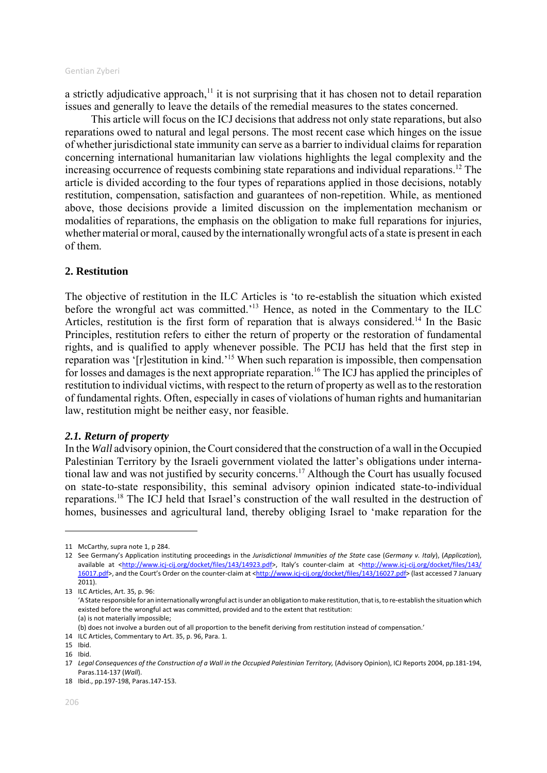a strictly adjudicative approach, $<sup>11</sup>$  it is not surprising that it has chosen not to detail reparation</sup> issues and generally to leave the details of the remedial measures to the states concerned.

This article will focus on the ICJ decisions that address not only state reparations, but also reparations owed to natural and legal persons. The most recent case which hinges on the issue of whether jurisdictional state immunity can serve as a barrier to individual claims for reparation concerning international humanitarian law violations highlights the legal complexity and the increasing occurrence of requests combining state reparations and individual reparations.<sup>12</sup> The article is divided according to the four types of reparations applied in those decisions, notably restitution, compensation, satisfaction and guarantees of non-repetition. While, as mentioned above, those decisions provide a limited discussion on the implementation mechanism or modalities of reparations, the emphasis on the obligation to make full reparations for injuries, whether material or moral, caused by the internationally wrongful acts of a state is present in each of them.

## **2. Restitution**

The objective of restitution in the ILC Articles is 'to re-establish the situation which existed before the wrongful act was committed.'13 Hence, as noted in the Commentary to the ILC Articles, restitution is the first form of reparation that is always considered.<sup>14</sup> In the Basic Principles, restitution refers to either the return of property or the restoration of fundamental rights, and is qualified to apply whenever possible. The PCIJ has held that the first step in reparation was '[r]estitution in kind.'15 When such reparation is impossible, then compensation for losses and damages is the next appropriate reparation.<sup>16</sup> The ICJ has applied the principles of restitution to individual victims, with respect to the return of property as well as to the restoration of fundamental rights. Often, especially in cases of violations of human rights and humanitarian law, restitution might be neither easy, nor feasible.

#### *2.1. Return of property*

In the *Wall* advisory opinion, the Court considered that the construction of a wall in the Occupied Palestinian Territory by the Israeli government violated the latter's obligations under international law and was not justified by security concerns.17 Although the Court has usually focused on state-to-state responsibility, this seminal advisory opinion indicated state-to-individual reparations.18 The ICJ held that Israel's construction of the wall resulted in the destruction of homes, businesses and agricultural land, thereby obliging Israel to 'make reparation for the

<sup>11</sup> McCarthy, supra note 1, p 284.

<sup>12</sup> See Germany's Application instituting proceedings in the *Jurisdictional Immunities of the State* case (*Germany v. Italy*), (*Application*), available at <http://www.icj-cij.org/docket/files/143/14923.pdf>, Italy's counter-claim at <http://www.icj-cij.org/docket/files/143/ 16017.pdf>, and the Court's Order on the counter-claim at <http://www.icj-cij.org/docket/files/143/16027.pdf> (last accessed 7 January 2011).

<sup>13</sup> ILC Articles, Art. 35, p. 96: 'A State responsible for an internationally wrongful act is under an obligation to make restitution, that is, to re-establish the situation which existed before the wrongful act was committed, provided and to the extent that restitution: (a) is not materially impossible;

<sup>(</sup>b) does not involve a burden out of all proportion to the benefit deriving from restitution instead of compensation.'

<sup>14</sup> ILC Articles, Commentary to Art. 35, p. 96, Para. 1.

<sup>15</sup> Ibid.

<sup>16</sup> Ibid.

<sup>17</sup> Legal Consequences of the Construction of a Wall in the Occupied Palestinian Territory, (Advisory Opinion), ICJ Reports 2004, pp.181-194, Paras.114‐137 (*Wall*).

<sup>18</sup> Ibid., pp.197‐198, Paras.147‐153.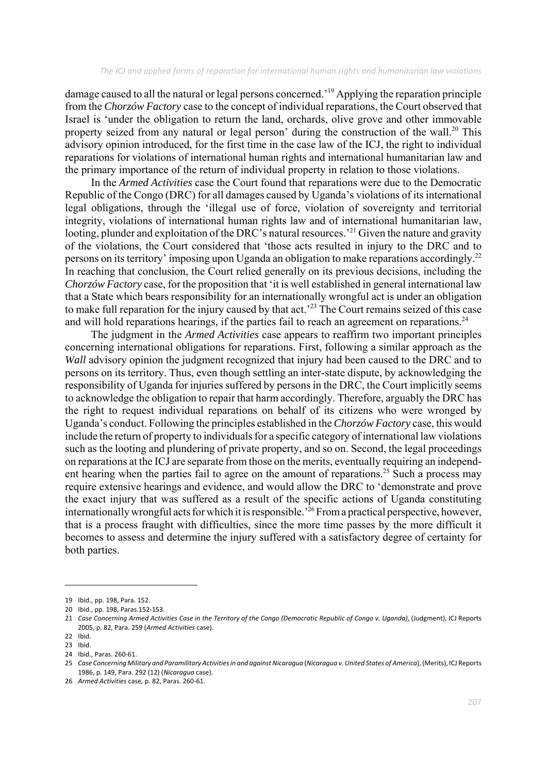damage caused to all the natural or legal persons concerned.'19 Applying the reparation principle from the *Chorzów Factory* case to the concept of individual reparations, the Court observed that Israel is 'under the obligation to return the land, orchards, olive grove and other immovable property seized from any natural or legal person' during the construction of the wall.<sup>20</sup> This advisory opinion introduced, for the first time in the case law of the ICJ, the right to individual reparations for violations of international human rights and international humanitarian law and the primary importance of the return of individual property in relation to those violations.

In the *Armed Activities* case the Court found that reparations were due to the Democratic Republic of the Congo (DRC) for all damages caused by Uganda's violations of its international legal obligations, through the 'illegal use of force, violation of sovereignty and territorial integrity, violations of international human rights law and of international humanitarian law, looting, plunder and exploitation of the DRC's natural resources.<sup>221</sup> Given the nature and gravity of the violations, the Court considered that 'those acts resulted in injury to the DRC and to persons on its territory' imposing upon Uganda an obligation to make reparations accordingly.22 In reaching that conclusion, the Court relied generally on its previous decisions, including the *Chorzów Factory* case, for the proposition that 'it is well established in general international law that a State which bears responsibility for an internationally wrongful act is under an obligation to make full reparation for the injury caused by that act.<sup>23</sup> The Court remains seized of this case and will hold reparations hearings, if the parties fail to reach an agreement on reparations.<sup>24</sup>

The judgment in the *Armed Activities* case appears to reaffirm two important principles concerning international obligations for reparations. First, following a similar approach as the *Wall* advisory opinion the judgment recognized that injury had been caused to the DRC and to persons on its territory. Thus, even though settling an inter-state dispute, by acknowledging the responsibility of Uganda for injuries suffered by persons in the DRC, the Court implicitly seems to acknowledge the obligation to repair that harm accordingly. Therefore, arguably the DRC has the right to request individual reparations on behalf of its citizens who were wronged by Uganda's conduct. Following the principles established in the *Chorzów Factory* case, this would include the return of property to individuals for a specific category of international law violations such as the looting and plundering of private property, and so on. Second, the legal proceedings on reparations at the ICJ are separate from those on the merits, eventually requiring an independent hearing when the parties fail to agree on the amount of reparations.<sup>25</sup> Such a process may require extensive hearings and evidence, and would allow the DRC to 'demonstrate and prove the exact injury that was suffered as a result of the specific actions of Uganda constituting internationally wrongful acts for which it is responsible.<sup>26</sup> From a practical perspective, however, that is a process fraught with difficulties, since the more time passes by the more difficult it becomes to assess and determine the injury suffered with a satisfactory degree of certainty for both parties.

<sup>19</sup> Ibid., pp. 198, Para. 152.

<sup>20</sup> Ibid., pp. 198, Paras.152‐153.

<sup>21</sup> Case Concerning Armed Activities Case in the Territory of the Congo (Democratic Republic of Congo v. Uganda), (Judgment), ICJ Reports 2005, p. 82, Para. 259 (*Armed Activities* case).

<sup>22</sup> Ibid.

<sup>23</sup> Ibid.

<sup>24</sup> Ibid., Paras. 260‐61.

<sup>25</sup> Case Concerning Military and Paramilitary Activities in and against Nicaragua (Nicaragua v. United States of America), (Merits), ICJ Reports 1986, p. 149, Para. 292 (12) (*Nicaragua* case).

<sup>26</sup> *Armed Activities* case*,* p. 82, Paras. 260‐61.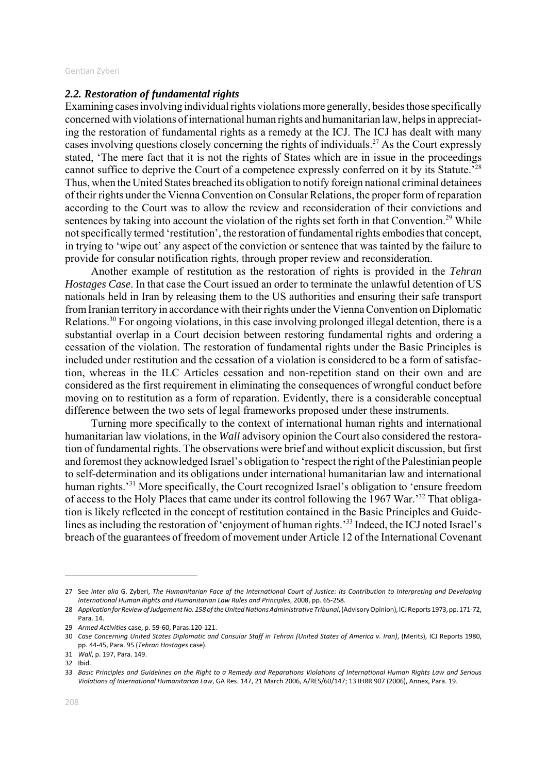## *2.2. Restoration of fundamental rights*

Examining cases involving individual rights violations more generally, besides those specifically concerned with violations of international human rights and humanitarian law, helps in appreciating the restoration of fundamental rights as a remedy at the ICJ. The ICJ has dealt with many cases involving questions closely concerning the rights of individuals.<sup>27</sup> As the Court expressly stated, 'The mere fact that it is not the rights of States which are in issue in the proceedings cannot suffice to deprive the Court of a competence expressly conferred on it by its Statute.'28 Thus, when the United States breached its obligation to notify foreign national criminal detainees of their rights under the Vienna Convention on Consular Relations, the proper form of reparation according to the Court was to allow the review and reconsideration of their convictions and sentences by taking into account the violation of the rights set forth in that Convention.<sup>29</sup> While not specifically termed 'restitution', the restoration of fundamental rights embodies that concept, in trying to 'wipe out' any aspect of the conviction or sentence that was tainted by the failure to provide for consular notification rights, through proper review and reconsideration.

Another example of restitution as the restoration of rights is provided in the *Tehran Hostages Case*. In that case the Court issued an order to terminate the unlawful detention of US nationals held in Iran by releasing them to the US authorities and ensuring their safe transport from Iranian territory in accordance with their rights under the Vienna Convention on Diplomatic Relations.30 For ongoing violations, in this case involving prolonged illegal detention, there is a substantial overlap in a Court decision between restoring fundamental rights and ordering a cessation of the violation. The restoration of fundamental rights under the Basic Principles is included under restitution and the cessation of a violation is considered to be a form of satisfaction, whereas in the ILC Articles cessation and non-repetition stand on their own and are considered as the first requirement in eliminating the consequences of wrongful conduct before moving on to restitution as a form of reparation. Evidently, there is a considerable conceptual difference between the two sets of legal frameworks proposed under these instruments.

Turning more specifically to the context of international human rights and international humanitarian law violations, in the *Wall* advisory opinion the Court also considered the restoration of fundamental rights. The observations were brief and without explicit discussion, but first and foremost they acknowledged Israel's obligation to 'respect the right of the Palestinian people to self-determination and its obligations under international humanitarian law and international human rights.'31 More specifically, the Court recognized Israel's obligation to 'ensure freedom of access to the Holy Places that came under its control following the 1967 War.'32 That obligation is likely reflected in the concept of restitution contained in the Basic Principles and Guidelines as including the restoration of 'enjoyment of human rights.'<sup>33</sup> Indeed, the ICJ noted Israel's breach of the guarantees of freedom of movement under Article 12 of the International Covenant

<sup>27</sup> See inter alia G. Zyberi, The Humanitarian Face of the International Court of Justice: Its Contribution to Interpreting and Developing *International Human Rights and Humanitarian Law Rules and Principles*, 2008, pp. 65‐258.

<sup>28</sup> *ApplicationforReviewofJudgementNo. 158 oftheUnitedNationsAdministrative Tribunal*,(AdvisoryOpinion), ICJReports 1973,pp. 171‐72, Para. 14.

<sup>29</sup> *Armed Activities* case, p. 59‐60, Paras.120‐121.

<sup>30</sup> Case Concerning United States Diplomatic and Consular Staff in Tehran (United States of America v. Iran), (Merits), ICJ Reports 1980, pp. 44‐45, Para. 95 (*Tehran Hostages* case).

<sup>31</sup> *Wall*, p. 197, Para. 149.

<sup>32</sup> Ibid.

<sup>33</sup> Basic Principles and Guidelines on the Right to a Remedy and Reparations Violations of International Human Rights Law and Serious *Violations of International Humanitarian Law*, GA Res. 147, 21 March 2006, A/RES/60/147; 13 IHRR 907 (2006), Annex, Para. 19.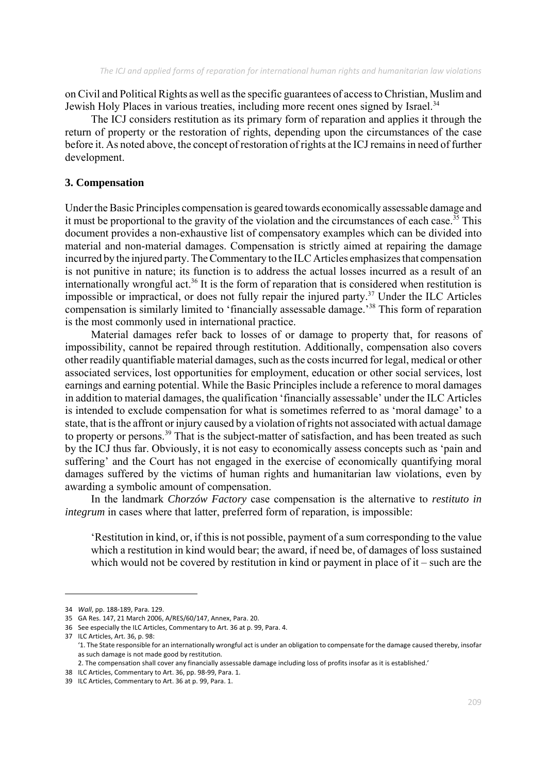on Civil and Political Rights as well as the specific guarantees of access to Christian, Muslim and Jewish Holy Places in various treaties, including more recent ones signed by Israel.<sup>34</sup>

The ICJ considers restitution as its primary form of reparation and applies it through the return of property or the restoration of rights, depending upon the circumstances of the case before it. As noted above, the concept of restoration of rights at the ICJ remains in need of further development.

#### **3. Compensation**

Under the Basic Principles compensation is geared towards economically assessable damage and it must be proportional to the gravity of the violation and the circumstances of each case.<sup>35</sup> This document provides a non-exhaustive list of compensatory examples which can be divided into material and non-material damages. Compensation is strictly aimed at repairing the damage incurred by the injured party. The Commentary to the ILC Articles emphasizes that compensation is not punitive in nature; its function is to address the actual losses incurred as a result of an internationally wrongful act.<sup>36</sup> It is the form of reparation that is considered when restitution is impossible or impractical, or does not fully repair the injured party.37 Under the ILC Articles compensation is similarly limited to 'financially assessable damage.'38 This form of reparation is the most commonly used in international practice.

Material damages refer back to losses of or damage to property that, for reasons of impossibility, cannot be repaired through restitution. Additionally, compensation also covers other readily quantifiable material damages, such as the costs incurred for legal, medical or other associated services, lost opportunities for employment, education or other social services, lost earnings and earning potential. While the Basic Principles include a reference to moral damages in addition to material damages, the qualification 'financially assessable' under the ILC Articles is intended to exclude compensation for what is sometimes referred to as 'moral damage' to a state, that is the affront or injury caused by a violation of rights not associated with actual damage to property or persons.<sup>39</sup> That is the subject-matter of satisfaction, and has been treated as such by the ICJ thus far. Obviously, it is not easy to economically assess concepts such as 'pain and suffering' and the Court has not engaged in the exercise of economically quantifying moral damages suffered by the victims of human rights and humanitarian law violations, even by awarding a symbolic amount of compensation.

In the landmark *Chorzów Factory* case compensation is the alternative to *restituto in integrum* in cases where that latter, preferred form of reparation, is impossible:

'Restitution in kind, or, if this is not possible, payment of a sum corresponding to the value which a restitution in kind would bear; the award, if need be, of damages of loss sustained which would not be covered by restitution in kind or payment in place of it – such are the

<sup>34</sup> *Wall*, pp. 188‐189, Para. 129.

<sup>35</sup> GA Res. 147, 21 March 2006, A/RES/60/147, Annex, Para. 20.

<sup>36</sup> See especially the ILC Articles, Commentary to Art. 36 at p. 99, Para. 4.

<sup>37</sup> ILC Articles, Art. 36, p. 98:

<sup>&#</sup>x27;1. The State responsible for an internationally wrongful act is under an obligation to compensate for the damage caused thereby, insofar as such damage is not made good by restitution.

<sup>2.</sup> The compensation shall cover any financially assessable damage including loss of profits insofar as it is established.'

<sup>38</sup> ILC Articles, Commentary to Art. 36, pp. 98‐99, Para. 1. 39 ILC Articles, Commentary to Art. 36 at p. 99, Para. 1.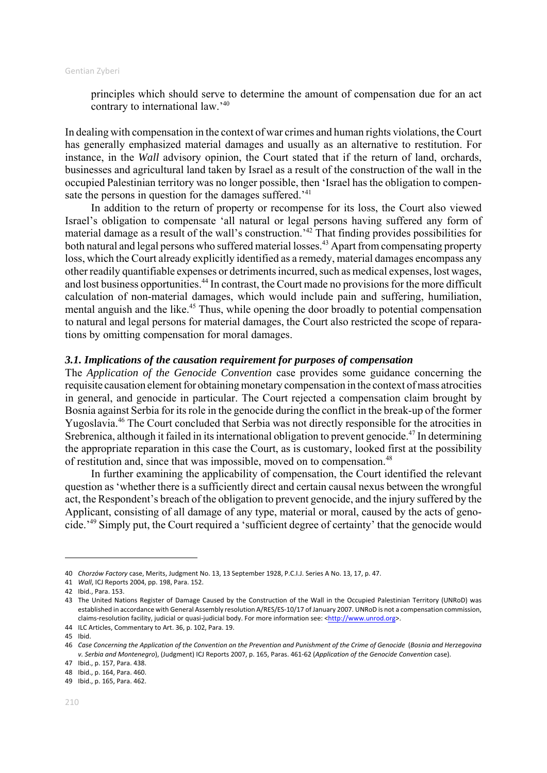principles which should serve to determine the amount of compensation due for an act contrary to international law.'40

In dealing with compensation in the context of war crimes and human rights violations, the Court has generally emphasized material damages and usually as an alternative to restitution. For instance, in the *Wall* advisory opinion, the Court stated that if the return of land, orchards, businesses and agricultural land taken by Israel as a result of the construction of the wall in the occupied Palestinian territory was no longer possible, then 'Israel has the obligation to compensate the persons in question for the damages suffered.<sup>'41</sup>

In addition to the return of property or recompense for its loss, the Court also viewed Israel's obligation to compensate 'all natural or legal persons having suffered any form of material damage as a result of the wall's construction.'42 That finding provides possibilities for both natural and legal persons who suffered material losses.<sup>43</sup> Apart from compensating property loss, which the Court already explicitly identified as a remedy, material damages encompass any other readily quantifiable expenses or detriments incurred, such as medical expenses, lost wages, and lost business opportunities.<sup>44</sup> In contrast, the Court made no provisions for the more difficult calculation of non-material damages, which would include pain and suffering, humiliation, mental anguish and the like.<sup>45</sup> Thus, while opening the door broadly to potential compensation to natural and legal persons for material damages, the Court also restricted the scope of reparations by omitting compensation for moral damages.

## *3.1. Implications of the causation requirement for purposes of compensation*

The *Application of the Genocide Convention* case provides some guidance concerning the requisite causation element for obtaining monetary compensation in the context of mass atrocities in general, and genocide in particular. The Court rejected a compensation claim brought by Bosnia against Serbia for its role in the genocide during the conflict in the break-up of the former Yugoslavia.46 The Court concluded that Serbia was not directly responsible for the atrocities in Srebrenica, although it failed in its international obligation to prevent genocide.<sup>47</sup> In determining the appropriate reparation in this case the Court, as is customary, looked first at the possibility of restitution and, since that was impossible, moved on to compensation.<sup>48</sup>

In further examining the applicability of compensation, the Court identified the relevant question as 'whether there is a sufficiently direct and certain causal nexus between the wrongful act, the Respondent's breach of the obligation to prevent genocide, and the injury suffered by the Applicant, consisting of all damage of any type, material or moral, caused by the acts of genocide.'49 Simply put, the Court required a 'sufficient degree of certainty' that the genocide would

<sup>40</sup> *Chorzów Factory* case, Merits, Judgment No. 13, 13 September 1928, P.C.I.J. Series A No. 13, 17, p. 47.

<sup>41</sup> *Wall*, ICJ Reports 2004, pp. 198, Para. 152.

<sup>42</sup> Ibid., Para. 153.

<sup>43</sup> The United Nations Register of Damage Caused by the Construction of the Wall in the Occupied Palestinian Territory (UNRoD) was established in accordance with General Assembly resolution A/RES/ES‐10/17 of January 2007. UNRoD is not a compensation commission, claims-resolution facility, judicial or quasi-judicial body. For more information see: <http://www.unrod.org>.

<sup>44</sup> ILC Articles, Commentary to Art. 36, p. 102, Para. 19.

<sup>45</sup> Ibid.

<sup>46</sup> Case Concerning the Application of the Convention on the Prevention and Punishment of the Crime of Genocide (Bosnia and Herzeqovina *v. Serbia and Montenegro*), (Judgment) ICJ Reports 2007, p. 165, Paras. 461‐62 (*Application of the Genocide Convention* case).

<sup>47</sup> Ibid., p. 157, Para. 438.

<sup>48</sup> Ibid., p. 164, Para. 460. 49 Ibid., p. 165, Para. 462.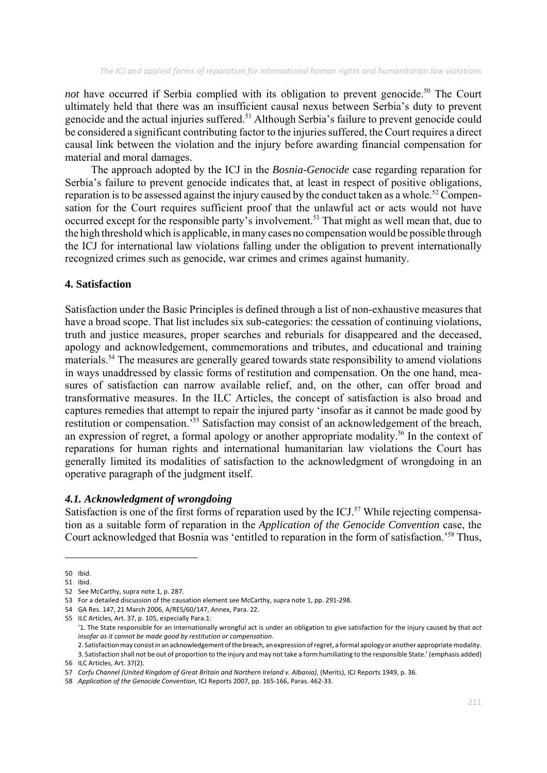*not* have occurred if Serbia complied with its obligation to prevent genocide.<sup>50</sup> The Court ultimately held that there was an insufficient causal nexus between Serbia's duty to prevent genocide and the actual injuries suffered.<sup>51</sup> Although Serbia's failure to prevent genocide could be considered a significant contributing factor to the injuries suffered, the Court requires a direct causal link between the violation and the injury before awarding financial compensation for material and moral damages.

The approach adopted by the ICJ in the *Bosnia-Genocide* case regarding reparation for Serbia's failure to prevent genocide indicates that, at least in respect of positive obligations, reparation is to be assessed against the injury caused by the conduct taken as a whole.<sup>52</sup> Compensation for the Court requires sufficient proof that the unlawful act or acts would not have occurred except for the responsible party's involvement.<sup>53</sup> That might as well mean that, due to the high threshold which is applicable, in many cases no compensation would be possible through the ICJ for international law violations falling under the obligation to prevent internationally recognized crimes such as genocide, war crimes and crimes against humanity.

## **4. Satisfaction**

Satisfaction under the Basic Principles is defined through a list of non-exhaustive measures that have a broad scope. That list includes six sub-categories: the cessation of continuing violations, truth and justice measures, proper searches and reburials for disappeared and the deceased, apology and acknowledgement, commemorations and tributes, and educational and training materials.54 The measures are generally geared towards state responsibility to amend violations in ways unaddressed by classic forms of restitution and compensation. On the one hand, measures of satisfaction can narrow available relief, and, on the other, can offer broad and transformative measures. In the ILC Articles, the concept of satisfaction is also broad and captures remedies that attempt to repair the injured party 'insofar as it cannot be made good by restitution or compensation.'55 Satisfaction may consist of an acknowledgement of the breach, an expression of regret, a formal apology or another appropriate modality.<sup>56</sup> In the context of reparations for human rights and international humanitarian law violations the Court has generally limited its modalities of satisfaction to the acknowledgment of wrongdoing in an operative paragraph of the judgment itself.

#### *4.1. Acknowledgment of wrongdoing*

Satisfaction is one of the first forms of reparation used by the ICJ.<sup>57</sup> While rejecting compensation as a suitable form of reparation in the *Application of the Genocide Convention* case, the Court acknowledged that Bosnia was 'entitled to reparation in the form of satisfaction.'58 Thus,

<sup>50</sup> Ibid.

<sup>51</sup> Ibid.

<sup>52</sup> See McCarthy, supra note 1, p. 287.

<sup>53</sup> For a detailed discussion of the causation element see McCarthy, supra note 1, pp. 291-298.

<sup>54</sup> GA Res. 147, 21 March 2006, A/RES/60/147, Annex, Para. 22.

<sup>55</sup> ILC Articles, Art. 37, p. 105, especially Para.1:

<sup>&#</sup>x27;1. The State responsible for an internationally wrongful act is under an obligation to give satisfaction for the injury caused by that *act insofar as it cannot be made good by restitution or compensation.*

<sup>2.</sup> Satisfaction may consist in an acknowledgement of the breach, an expression of regret, a formal apology or another appropriate modality. 3. Satisfaction shall not be out of proportion to the injury and may not take a form humiliating to the responsible State.' (emphasis added) 56 ILC Articles, Art. 37(2).

<sup>57</sup> *Corfu Channel (United Kingdom of Great Britain and Northern Ireland v. Albania)*, (Merits), ICJ Reports 1949, p. 36.

<sup>58</sup> *Application of the Genocide Convention*, ICJ Reports 2007, pp. 165‐166, Paras. 462‐33.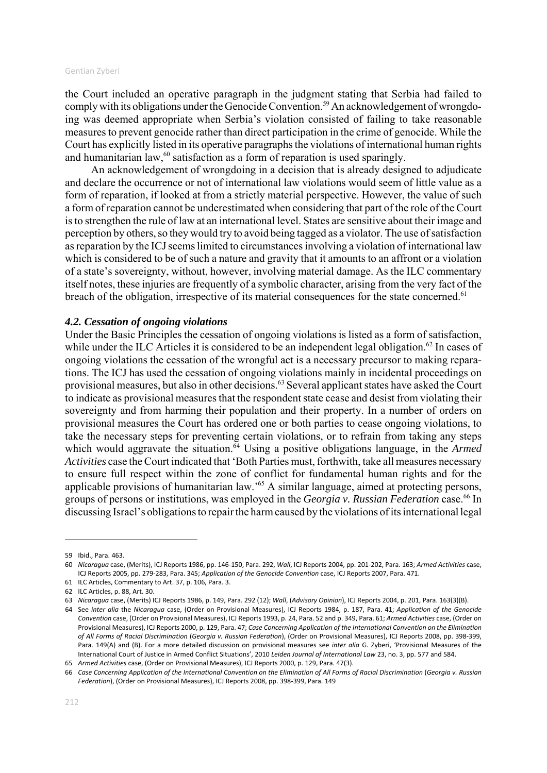the Court included an operative paragraph in the judgment stating that Serbia had failed to comply with its obligations under the Genocide Convention.<sup>59</sup> An acknowledgement of wrongdoing was deemed appropriate when Serbia's violation consisted of failing to take reasonable measures to prevent genocide rather than direct participation in the crime of genocide. While the Court has explicitly listed in its operative paragraphs the violations of international human rights and humanitarian law, $60$  satisfaction as a form of reparation is used sparingly.

An acknowledgement of wrongdoing in a decision that is already designed to adjudicate and declare the occurrence or not of international law violations would seem of little value as a form of reparation, if looked at from a strictly material perspective. However, the value of such a form of reparation cannot be underestimated when considering that part of the role of the Court is to strengthen the rule of law at an international level. States are sensitive about their image and perception by others, so they would try to avoid being tagged as a violator. The use of satisfaction as reparation by the ICJ seems limited to circumstances involving a violation of international law which is considered to be of such a nature and gravity that it amounts to an affront or a violation of a state's sovereignty, without, however, involving material damage. As the ILC commentary itself notes, these injuries are frequently of a symbolic character, arising from the very fact of the breach of the obligation, irrespective of its material consequences for the state concerned.<sup>61</sup>

#### *4.2. Cessation of ongoing violations*

Under the Basic Principles the cessation of ongoing violations is listed as a form of satisfaction, while under the ILC Articles it is considered to be an independent legal obligation.<sup>62</sup> In cases of ongoing violations the cessation of the wrongful act is a necessary precursor to making reparations. The ICJ has used the cessation of ongoing violations mainly in incidental proceedings on provisional measures, but also in other decisions.63 Several applicant states have asked the Court to indicate as provisional measures that the respondent state cease and desist from violating their sovereignty and from harming their population and their property. In a number of orders on provisional measures the Court has ordered one or both parties to cease ongoing violations, to take the necessary steps for preventing certain violations, or to refrain from taking any steps which would aggravate the situation.<sup>64</sup> Using a positive obligations language, in the *Armed Activities* case the Court indicated that 'Both Parties must, forthwith, take all measures necessary to ensure full respect within the zone of conflict for fundamental human rights and for the applicable provisions of humanitarian law.'65 A similar language, aimed at protecting persons, groups of persons or institutions, was employed in the *Georgia v. Russian Federation* case.<sup>66</sup> In discussing Israel's obligations to repair the harm caused by the violations of its international legal

<sup>59</sup> Ibid., Para. 463.

<sup>60</sup> *Nicaragua* case, (Merits), ICJ Reports 1986, pp. 146‐150, Para. 292, *Wall*, ICJ Reports 2004, pp. 201‐202, Para. 163; *Armed Activities* case, ICJ Reports 2005, pp. 279‐283, Para. 345; *Application of the Genocide Convention* case, ICJ Reports 2007, Para. 471.

<sup>61</sup> ILC Articles, Commentary to Art. 37, p. 106, Para. 3.

<sup>62</sup> ILC Articles, p. 88, Art. 30.

<sup>63</sup> *Nicaragua* case, (Merits) ICJ Reports 1986, p. 149, Para. 292 (12); *Wall*, (*Advisory Opinion*), ICJ Reports 2004, p. 201, Para. 163(3)(B).

<sup>64</sup> See *inter alia* the *Nicaragua* case, (Order on Provisional Measures), ICJ Reports 1984, p. 187, Para. 41; *Application of the Genocide Convention* case, (Order on Provisional Measures), ICJ Reports 1993, p. 24, Para. 52 and p. 349, Para. 61; *Armed Activities* case, (Order on Provisional Measures), ICJ Reports 2000, p. 129, Para. 47; *Case Concerning Application of the International Convention on the Elimination of All Forms of Racial Discrimination* (*Georgia v. Russian Federation*), (Order on Provisional Measures), ICJ Reports 2008, pp. 398‐399, Para. 149(A) and (B). For a more detailed discussion on provisional measures see *inter alia* G. Zyberi, 'Provisional Measures of the International Court of Justice in Armed Conflict Situations', 2010 *Leiden Journal of International Law* 23, no. 3, pp. 577 and 584.

<sup>65</sup> *Armed Activities* case, (Order on Provisional Measures), ICJ Reports 2000, p. 129, Para. 47(3).

<sup>66</sup> Case Concerning Application of the International Convention on the Elimination of All Forms of Racial Discrimination (Georgia v. Russian *Federation*), (Order on Provisional Measures), ICJ Reports 2008, pp. 398‐399, Para. 149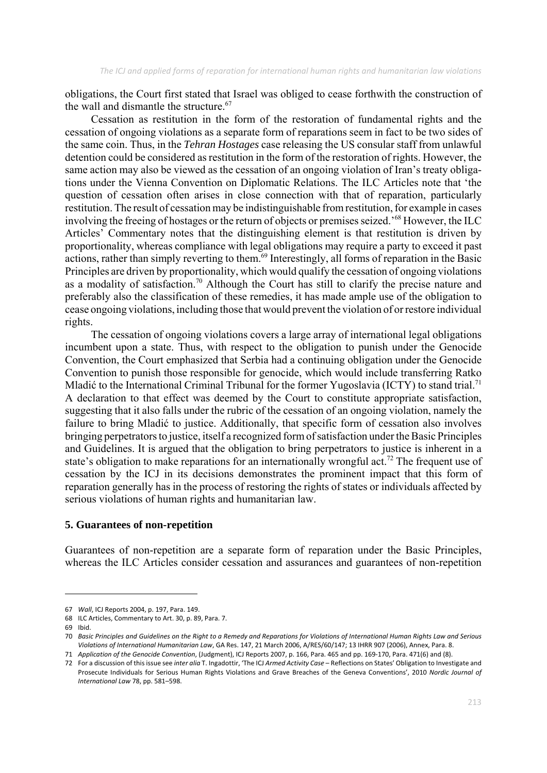obligations, the Court first stated that Israel was obliged to cease forthwith the construction of the wall and dismantle the structure. $67$ 

Cessation as restitution in the form of the restoration of fundamental rights and the cessation of ongoing violations as a separate form of reparations seem in fact to be two sides of the same coin. Thus, in the *Tehran Hostages* case releasing the US consular staff from unlawful detention could be considered as restitution in the form of the restoration of rights. However, the same action may also be viewed as the cessation of an ongoing violation of Iran's treaty obligations under the Vienna Convention on Diplomatic Relations. The ILC Articles note that 'the question of cessation often arises in close connection with that of reparation, particularly restitution. The result of cessation may be indistinguishable from restitution, for example in cases involving the freeing of hostages or the return of objects or premises seized.'68 However, the ILC Articles' Commentary notes that the distinguishing element is that restitution is driven by proportionality, whereas compliance with legal obligations may require a party to exceed it past actions, rather than simply reverting to them.<sup>69</sup> Interestingly, all forms of reparation in the Basic Principles are driven by proportionality, which would qualify the cessation of ongoing violations as a modality of satisfaction.<sup>70</sup> Although the Court has still to clarify the precise nature and preferably also the classification of these remedies, it has made ample use of the obligation to cease ongoing violations, including those that would prevent the violation of or restore individual rights.

The cessation of ongoing violations covers a large array of international legal obligations incumbent upon a state. Thus, with respect to the obligation to punish under the Genocide Convention, the Court emphasized that Serbia had a continuing obligation under the Genocide Convention to punish those responsible for genocide, which would include transferring Ratko Mladić to the International Criminal Tribunal for the former Yugoslavia (ICTY) to stand trial.<sup>71</sup> A declaration to that effect was deemed by the Court to constitute appropriate satisfaction, suggesting that it also falls under the rubric of the cessation of an ongoing violation, namely the failure to bring Mladić to justice. Additionally, that specific form of cessation also involves bringing perpetrators to justice, itself a recognized form of satisfaction under the Basic Principles and Guidelines. It is argued that the obligation to bring perpetrators to justice is inherent in a state's obligation to make reparations for an internationally wrongful act.<sup>72</sup> The frequent use of cessation by the ICJ in its decisions demonstrates the prominent impact that this form of reparation generally has in the process of restoring the rights of states or individuals affected by serious violations of human rights and humanitarian law.

#### **5. Guarantees of non-repetition**

Guarantees of non-repetition are a separate form of reparation under the Basic Principles, whereas the ILC Articles consider cessation and assurances and guarantees of non-repetition

<sup>67</sup> *Wall*, ICJ Reports 2004, p. 197, Para. 149.

<sup>68</sup> ILC Articles, Commentary to Art. 30, p. 89, Para. 7.

<sup>69</sup> Ibid.

<sup>70</sup> Basic Principles and Guidelines on the Right to a Remedy and Reparations for Violations of International Human Rights Law and Serious *Violations of International Humanitarian Law*, GA Res. 147, 21 March 2006, A/RES/60/147; 13 IHRR 907 (2006), Annex, Para. 8.

<sup>71</sup> *Application of the Genocide Convention*, (Judgment), ICJ Reports 2007, p. 166, Para. 465 and pp. 169‐170, Para. 471(6) and (8).

<sup>72</sup> For a discussion of this issue see *inter alia* T. Ingadottir, 'The ICJ *Armed Activity Case* – Reflections on States' Obligation to Investigate and Prosecute Individuals for Serious Human Rights Violations and Grave Breaches of the Geneva Conventions', 2010 *Nordic Journal of International Law* 78, pp. 581–598.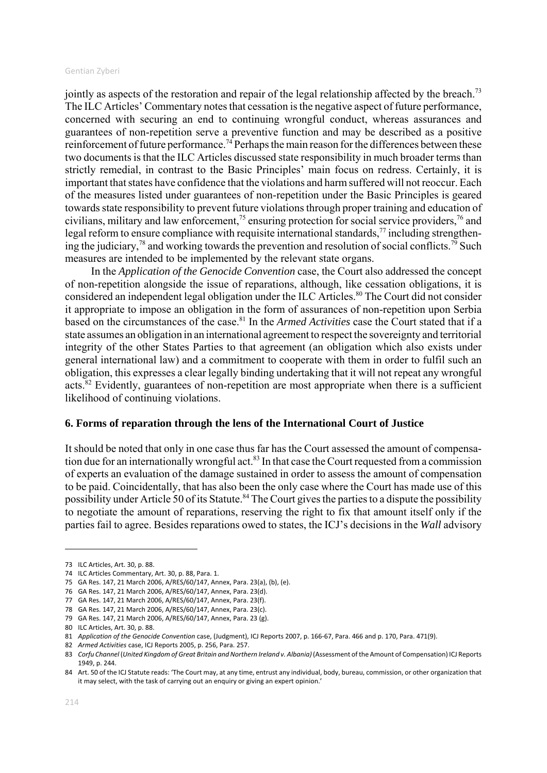jointly as aspects of the restoration and repair of the legal relationship affected by the breach.<sup>73</sup> The ILC Articles' Commentary notes that cessation is the negative aspect of future performance, concerned with securing an end to continuing wrongful conduct, whereas assurances and guarantees of non-repetition serve a preventive function and may be described as a positive reinforcement of future performance.<sup>74</sup> Perhaps the main reason for the differences between these two documents is that the ILC Articles discussed state responsibility in much broader terms than strictly remedial, in contrast to the Basic Principles' main focus on redress. Certainly, it is important that states have confidence that the violations and harm suffered will not reoccur. Each of the measures listed under guarantees of non-repetition under the Basic Principles is geared towards state responsibility to prevent future violations through proper training and education of civilians, military and law enforcement,<sup>75</sup> ensuring protection for social service providers,<sup>76</sup> and legal reform to ensure compliance with requisite international standards, $77$  including strengthening the judiciary,<sup>78</sup> and working towards the prevention and resolution of social conflicts.<sup>79</sup> Such measures are intended to be implemented by the relevant state organs.

In the *Application of the Genocide Convention* case, the Court also addressed the concept of non-repetition alongside the issue of reparations, although, like cessation obligations, it is considered an independent legal obligation under the ILC Articles.<sup>80</sup> The Court did not consider it appropriate to impose an obligation in the form of assurances of non-repetition upon Serbia based on the circumstances of the case.81 In the *Armed Activities* case the Court stated that if a state assumes an obligation in an international agreement to respect the sovereignty and territorial integrity of the other States Parties to that agreement (an obligation which also exists under general international law) and a commitment to cooperate with them in order to fulfil such an obligation, this expresses a clear legally binding undertaking that it will not repeat any wrongful acts.<sup>82</sup> Evidently, guarantees of non-repetition are most appropriate when there is a sufficient likelihood of continuing violations.

## **6. Forms of reparation through the lens of the International Court of Justice**

It should be noted that only in one case thus far has the Court assessed the amount of compensation due for an internationally wrongful act.<sup>83</sup> In that case the Court requested from a commission of experts an evaluation of the damage sustained in order to assess the amount of compensation to be paid. Coincidentally, that has also been the only case where the Court has made use of this possibility under Article 50 of its Statute.<sup>84</sup> The Court gives the parties to a dispute the possibility to negotiate the amount of reparations, reserving the right to fix that amount itself only if the parties fail to agree. Besides reparations owed to states, the ICJ's decisions in the *Wall* advisory

<sup>73</sup> ILC Articles, Art. 30, p. 88.

<sup>74</sup> ILC Articles Commentary, Art. 30, p. 88, Para. 1.

<sup>75</sup> GA Res. 147, 21 March 2006, A/RES/60/147, Annex, Para. 23(a), (b), (e).

<sup>76</sup> GA Res. 147, 21 March 2006, A/RES/60/147, Annex, Para. 23(d).

<sup>77</sup> GA Res. 147, 21 March 2006, A/RES/60/147, Annex, Para. 23(f).

<sup>78</sup> GA Res. 147, 21 March 2006, A/RES/60/147, Annex, Para. 23(c).

<sup>79</sup> GA Res. 147, 21 March 2006, A/RES/60/147, Annex, Para. 23 (g).

<sup>80</sup> ILC Articles, Art. 30, p. 88.

<sup>81</sup> *Application of the Genocide Convention* case, (Judgment), ICJ Reports 2007, p. 166‐67, Para. 466 and p. 170, Para. 471(9).

<sup>82</sup> *Armed Activities* case, ICJ Reports 2005, p. 256, Para. 257.

<sup>83</sup> *Corfu Channel* (*United Kingdom of Great Britain and Northern Ireland v. Albania)* (Assessment ofthe Amount of Compensation) ICJ Reports 1949, p. 244.

<sup>84</sup> Art. 50 of the ICJ Statute reads: 'The Court may, at any time, entrust any individual, body, bureau, commission, or other organization that it may select, with the task of carrying out an enquiry or giving an expert opinion.'